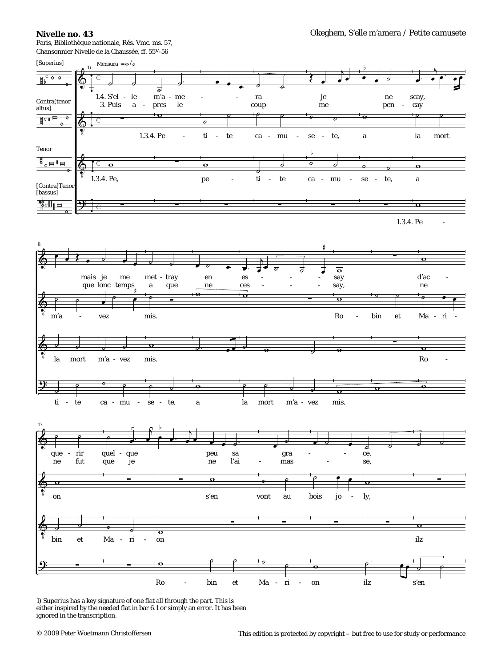## **Nivelle no. 43**

Paris, Bibliothèque nationale, Rés. Vmc. ms. 57, Chansonnier Nivelle de la Chaussée, ff. 55v-56



1) *Superius* has a key signature of one flat all through the part. This is either inspired by the needed flat in bar 6.1 or simply an error. It has been ignored in the transcription.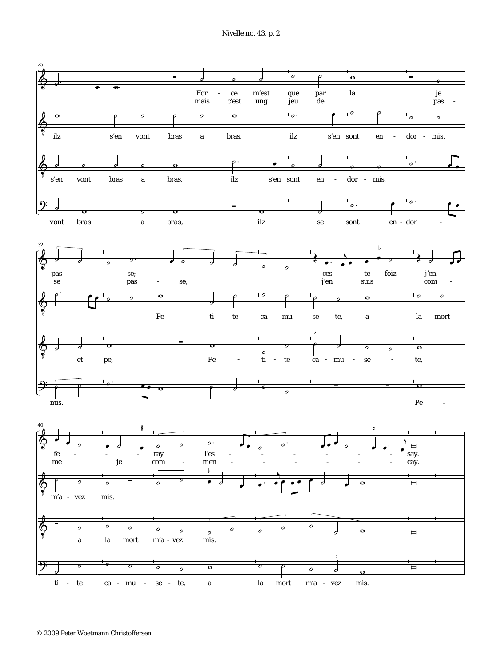Nivelle no. 43, p. 2

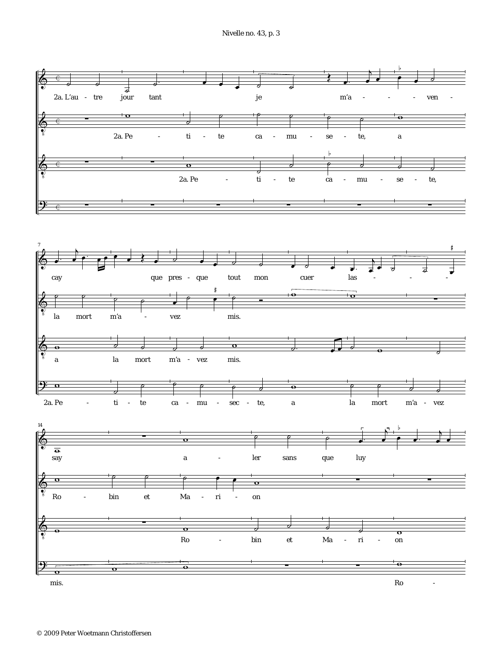